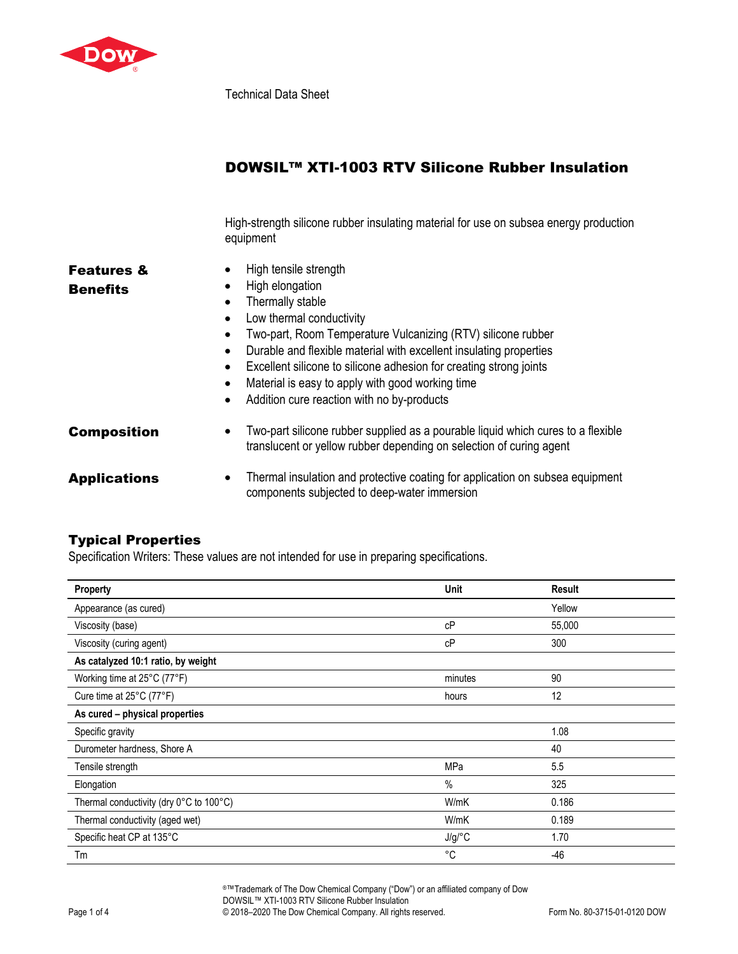

Technical Data Sheet

# DOWSIL™ XTI-1003 RTV Silicone Rubber Insulation

High-strength silicone rubber insulating material for use on subsea energy production equipment

| <b>Features &amp;</b><br><b>Benefits</b> | High tensile strength<br>$\bullet$<br>High elongation<br>$\bullet$<br>Thermally stable<br>٠<br>Low thermal conductivity<br>$\bullet$<br>Two-part, Room Temperature Vulcanizing (RTV) silicone rubber<br>٠<br>Durable and flexible material with excellent insulating properties<br>$\bullet$<br>Excellent silicone to silicone adhesion for creating strong joints<br>$\bullet$<br>Material is easy to apply with good working time<br>$\bullet$<br>Addition cure reaction with no by-products<br>$\bullet$ |
|------------------------------------------|-------------------------------------------------------------------------------------------------------------------------------------------------------------------------------------------------------------------------------------------------------------------------------------------------------------------------------------------------------------------------------------------------------------------------------------------------------------------------------------------------------------|
| <b>Composition</b>                       | Two-part silicone rubber supplied as a pourable liquid which cures to a flexible<br>$\bullet$<br>translucent or yellow rubber depending on selection of curing agent                                                                                                                                                                                                                                                                                                                                        |
| <b>Applications</b>                      | Thermal insulation and protective coating for application on subsea equipment<br>$\bullet$<br>components subjected to deep-water immersion                                                                                                                                                                                                                                                                                                                                                                  |

## Typical Properties

Specification Writers: These values are not intended for use in preparing specifications.

| <b>Property</b>                         | Unit    | <b>Result</b> |
|-----------------------------------------|---------|---------------|
| Appearance (as cured)                   |         | Yellow        |
| Viscosity (base)                        | cP      | 55,000        |
| Viscosity (curing agent)                | cP      | 300           |
| As catalyzed 10:1 ratio, by weight      |         |               |
| Working time at 25°C (77°F)             | minutes | 90            |
| Cure time at 25°C (77°F)                | hours   | 12            |
| As cured - physical properties          |         |               |
| Specific gravity                        |         | 1.08          |
| Durometer hardness, Shore A             |         | 40            |
| Tensile strength                        | MPa     | 5.5           |
| Elongation                              | $\%$    | 325           |
| Thermal conductivity (dry 0°C to 100°C) | W/mK    | 0.186         |
| Thermal conductivity (aged wet)         | W/mK    | 0.189         |
| Specific heat CP at 135°C               | J/g/C   | 1.70          |
| Tm                                      | °C      | $-46$         |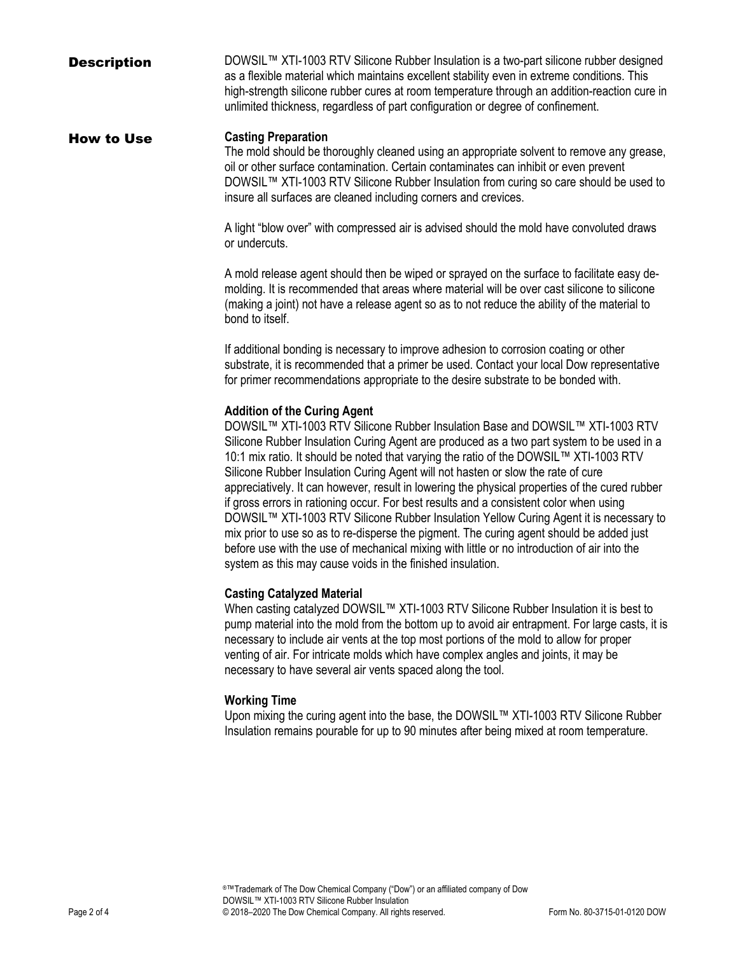**Description** DOWSIL™ XTI-1003 RTV Silicone Rubber Insulation is a two-part silicone rubber designed as a flexible material which maintains excellent stability even in extreme conditions. This high-strength silicone rubber cures at room temperature through an addition-reaction cure in unlimited thickness, regardless of part configuration or degree of confinement.

### How to Use **Casting Preparation**

The mold should be thoroughly cleaned using an appropriate solvent to remove any grease, oil or other surface contamination. Certain contaminates can inhibit or even prevent DOWSIL™ XTI-1003 RTV Silicone Rubber Insulation from curing so care should be used to insure all surfaces are cleaned including corners and crevices.

A light "blow over" with compressed air is advised should the mold have convoluted draws or undercuts.

A mold release agent should then be wiped or sprayed on the surface to facilitate easy demolding. It is recommended that areas where material will be over cast silicone to silicone (making a joint) not have a release agent so as to not reduce the ability of the material to bond to itself.

If additional bonding is necessary to improve adhesion to corrosion coating or other substrate, it is recommended that a primer be used. Contact your local Dow representative for primer recommendations appropriate to the desire substrate to be bonded with.

## **Addition of the Curing Agent**

DOWSIL™ XTI-1003 RTV Silicone Rubber Insulation Base and DOWSIL™ XTI-1003 RTV Silicone Rubber Insulation Curing Agent are produced as a two part system to be used in a 10:1 mix ratio. It should be noted that varying the ratio of the DOWSIL™ XTI-1003 RTV Silicone Rubber Insulation Curing Agent will not hasten or slow the rate of cure appreciatively. It can however, result in lowering the physical properties of the cured rubber if gross errors in rationing occur. For best results and a consistent color when using DOWSIL™ XTI-1003 RTV Silicone Rubber Insulation Yellow Curing Agent it is necessary to mix prior to use so as to re-disperse the pigment. The curing agent should be added just before use with the use of mechanical mixing with little or no introduction of air into the system as this may cause voids in the finished insulation.

#### **Casting Catalyzed Material**

When casting catalyzed DOWSIL™ XTI-1003 RTV Silicone Rubber Insulation it is best to pump material into the mold from the bottom up to avoid air entrapment. For large casts, it is necessary to include air vents at the top most portions of the mold to allow for proper venting of air. For intricate molds which have complex angles and joints, it may be necessary to have several air vents spaced along the tool.

#### **Working Time**

Upon mixing the curing agent into the base, the DOWSIL™ XTI-1003 RTV Silicone Rubber Insulation remains pourable for up to 90 minutes after being mixed at room temperature.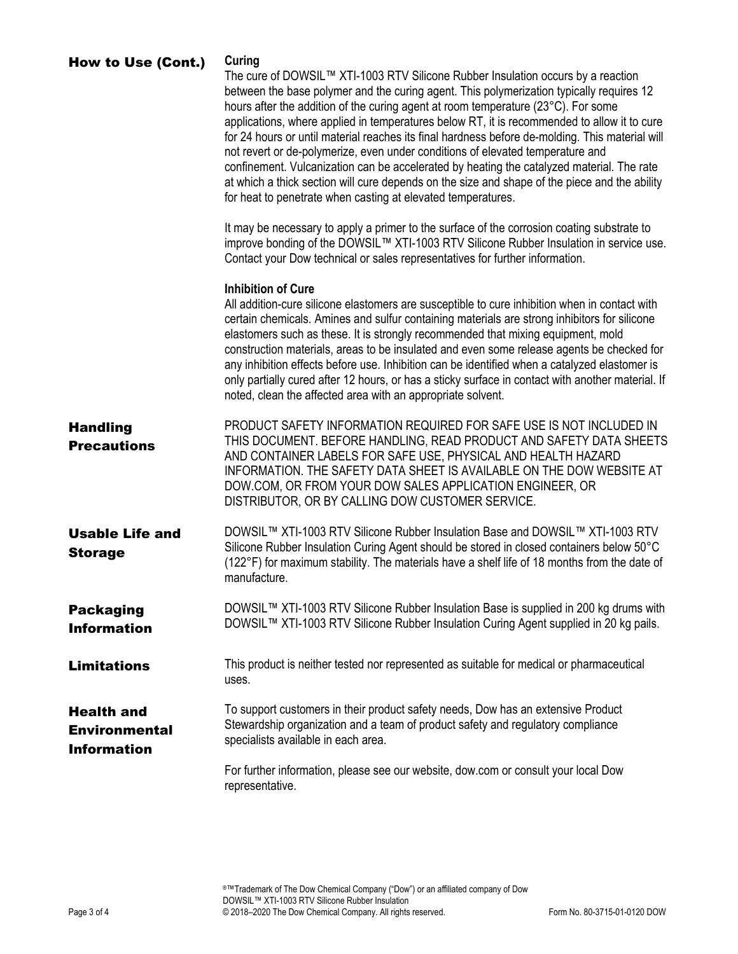| <b>How to Use (Cont.)</b>                                       | Curing<br>The cure of DOWSIL™ XTI-1003 RTV Silicone Rubber Insulation occurs by a reaction<br>between the base polymer and the curing agent. This polymerization typically requires 12<br>hours after the addition of the curing agent at room temperature (23°C). For some<br>applications, where applied in temperatures below RT, it is recommended to allow it to cure<br>for 24 hours or until material reaches its final hardness before de-molding. This material will<br>not revert or de-polymerize, even under conditions of elevated temperature and<br>confinement. Vulcanization can be accelerated by heating the catalyzed material. The rate<br>at which a thick section will cure depends on the size and shape of the piece and the ability<br>for heat to penetrate when casting at elevated temperatures.<br>It may be necessary to apply a primer to the surface of the corrosion coating substrate to |
|-----------------------------------------------------------------|-----------------------------------------------------------------------------------------------------------------------------------------------------------------------------------------------------------------------------------------------------------------------------------------------------------------------------------------------------------------------------------------------------------------------------------------------------------------------------------------------------------------------------------------------------------------------------------------------------------------------------------------------------------------------------------------------------------------------------------------------------------------------------------------------------------------------------------------------------------------------------------------------------------------------------|
|                                                                 | improve bonding of the DOWSIL™ XTI-1003 RTV Silicone Rubber Insulation in service use.<br>Contact your Dow technical or sales representatives for further information.                                                                                                                                                                                                                                                                                                                                                                                                                                                                                                                                                                                                                                                                                                                                                      |
|                                                                 | <b>Inhibition of Cure</b><br>All addition-cure silicone elastomers are susceptible to cure inhibition when in contact with<br>certain chemicals. Amines and sulfur containing materials are strong inhibitors for silicone<br>elastomers such as these. It is strongly recommended that mixing equipment, mold<br>construction materials, areas to be insulated and even some release agents be checked for<br>any inhibition effects before use. Inhibition can be identified when a catalyzed elastomer is<br>only partially cured after 12 hours, or has a sticky surface in contact with another material. If<br>noted, clean the affected area with an appropriate solvent.                                                                                                                                                                                                                                            |
| <b>Handling</b><br><b>Precautions</b>                           | PRODUCT SAFETY INFORMATION REQUIRED FOR SAFE USE IS NOT INCLUDED IN<br>THIS DOCUMENT. BEFORE HANDLING, READ PRODUCT AND SAFETY DATA SHEETS<br>AND CONTAINER LABELS FOR SAFE USE, PHYSICAL AND HEALTH HAZARD<br>INFORMATION. THE SAFETY DATA SHEET IS AVAILABLE ON THE DOW WEBSITE AT<br>DOW.COM, OR FROM YOUR DOW SALES APPLICATION ENGINEER, OR<br>DISTRIBUTOR, OR BY CALLING DOW CUSTOMER SERVICE.                                                                                                                                                                                                                                                                                                                                                                                                                                                                                                                        |
| <b>Usable Life and</b><br><b>Storage</b>                        | DOWSIL™ XTI-1003 RTV Silicone Rubber Insulation Base and DOWSIL™ XTI-1003 RTV<br>Silicone Rubber Insulation Curing Agent should be stored in closed containers below 50°C<br>(122°F) for maximum stability. The materials have a shelf life of 18 months from the date of<br>manufacture.                                                                                                                                                                                                                                                                                                                                                                                                                                                                                                                                                                                                                                   |
| <b>Packaging</b><br><b>Information</b>                          | DOWSIL™ XTI-1003 RTV Silicone Rubber Insulation Base is supplied in 200 kg drums with<br>DOWSIL™ XTI-1003 RTV Silicone Rubber Insulation Curing Agent supplied in 20 kg pails.                                                                                                                                                                                                                                                                                                                                                                                                                                                                                                                                                                                                                                                                                                                                              |
| <b>Limitations</b>                                              | This product is neither tested nor represented as suitable for medical or pharmaceutical<br>uses.                                                                                                                                                                                                                                                                                                                                                                                                                                                                                                                                                                                                                                                                                                                                                                                                                           |
| <b>Health and</b><br><b>Environmental</b><br><b>Information</b> | To support customers in their product safety needs, Dow has an extensive Product<br>Stewardship organization and a team of product safety and regulatory compliance<br>specialists available in each area.                                                                                                                                                                                                                                                                                                                                                                                                                                                                                                                                                                                                                                                                                                                  |
|                                                                 | For further information, please see our website, dow.com or consult your local Dow<br>representative.                                                                                                                                                                                                                                                                                                                                                                                                                                                                                                                                                                                                                                                                                                                                                                                                                       |